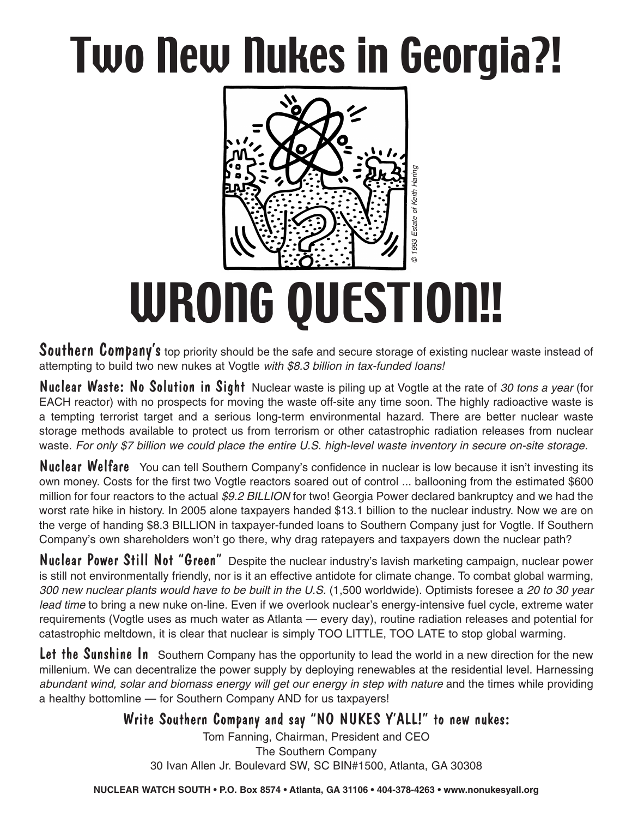## Two New Nukes in Georgia?!



# WRONG QUESTION!!

Southern Company's top priority should be the safe and secure storage of existing nuclear waste instead of attempting to build two new nukes at Vogtle *with \$8.3 billion in tax-funded loans!*

Nuclear Waste: No Solution in Sight Nuclear waste is piling up at Vogtle at the rate of *30 tons a year* (for EACH reactor) with no prospects for moving the waste off-site any time soon. The highly radioactive waste is a tempting terrorist target and a serious long-term environmental hazard. There are better nuclear waste storage methods available to protect us from terrorism or other catastrophic radiation releases from nuclear waste. For only \$7 billion we could place the entire U.S. high-level waste inventory in secure on-site storage.

Nuclear Welfare You can tell Southern Company's confidence in nuclear is low because it isn't investing its own money. Costs for the first two Vogtle reactors soared out of control ... ballooning from the estimated \$600 million for four reactors to the actual *\$9.2 BILLION* for two! Georgia Power declared bankruptcy and we had the worst rate hike in history. In 2005 alone taxpayers handed \$13.1 billion to the nuclear industry. Now we are on the verge of handing \$8.3 BILLION in taxpayer-funded loans to Southern Company just for Vogtle. If Southern Company's own shareholders won't go there, why drag ratepayers and taxpayers down the nuclear path?

Nuclear Power Still Not "Green" Despite the nuclear industry's lavish marketing campaign, nuclear power is still not environmentally friendly, nor is it an effective antidote for climate change. To combat global warming, *300 new nuclear plants would have to be built in the U.S.* (1,500 worldwide). Optimists foresee a *20 to 30 year lead time* to bring a new nuke on-line. Even if we overlook nuclear's energy-intensive fuel cycle, extreme water requirements (Vogtle uses as much water as Atlanta — every day), routine radiation releases and potential for catastrophic meltdown, it is clear that nuclear is simply TOO LITTLE, TOO LATE to stop global warming. 39 IVAN Allen IV and the safe and secure storage of existing numbers of strength of the safe and secure storage of existing numbers at Vogtte with \$8.3 billion in tax-funded loans!<br>
So the prospects for moving the waste of

Let the Sunshine In Southern Company has the opportunity to lead the world in a new direction for the new millenium. We can decentralize the power supply by deploying renewables at the residential level. Harnessing *abundant wind, solar and biomass energy will get our energy in step with nature* and the times while providing a healthy bottomline — for Southern Company AND for us taxpayers!

#### Write Southern Company and say "NO NUKES Y'ALL!" to new nukes:

Tom Fanning, Chairman, President and CEO The Southern Company